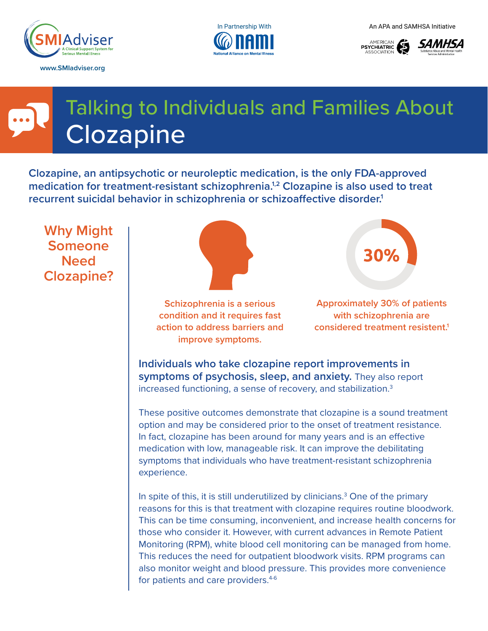







# Talking to Individuals and Families About **Clozapine**

**Clozapine, an antipsychotic or neuroleptic medication, is the only FDA-approved medication for treatment-resistant schizophrenia.1,2 Clozapine is also used to treat recurrent suicidal behavior in schizophrenia or schizoaffective disorder.1**

**Why Might Someone Need Clozapine?**



**Schizophrenia is a serious condition and it requires fast action to address barriers and improve symptoms.**

**Approximately 30% of patients with schizophrenia are considered treatment resistent.1**

**Individuals who take clozapine report improvements in symptoms of psychosis, sleep, and anxiety.** They also report increased functioning, a sense of recovery, and stabilization.<sup>3</sup>

These positive outcomes demonstrate that clozapine is a sound treatment option and may be considered prior to the onset of treatment resistance. In fact, clozapine has been around for many years and is an effective medication with low, manageable risk. It can improve the debilitating symptoms that individuals who have treatment-resistant schizophrenia experience.

In spite of this, it is still underutilized by clinicians.3 One of the primary reasons for this is that treatment with clozapine requires routine bloodwork. This can be time consuming, inconvenient, and increase health concerns for those who consider it. However, with current advances in Remote Patient Monitoring (RPM), white blood cell monitoring can be managed from home. This reduces the need for outpatient bloodwork visits. RPM programs can also monitor weight and blood pressure. This provides more convenience for patients and care providers.<sup>4-6</sup>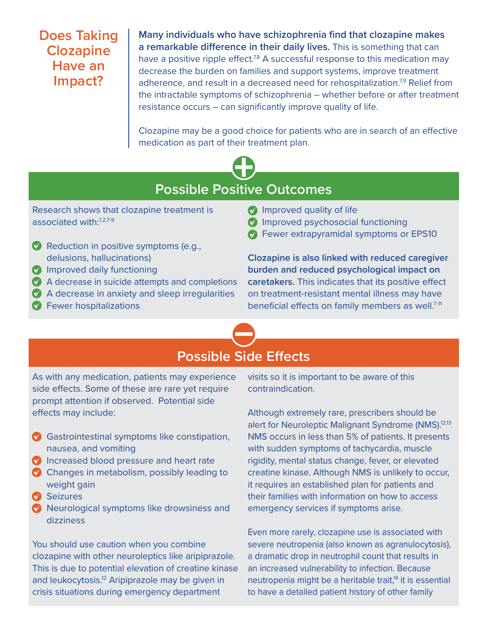#### **Does Taking Clozapine Have an Impact?**

**Many individuals who have schizophrenia find that clozapine makes a remarkable difference in their daily lives.** This is something that can have a positive ripple effect.<sup>7,8</sup> A successful response to this medication may decrease the burden on families and support systems, improve treatment adherence, and result in a decreased need for rehospitalization.<sup>7,9</sup> Relief from the intractable symptoms of schizophrenia – whether before or after treatment resistance occurs – can significantly improve quality of life.

Clozapine may be a good choice for patients who are in search of an effective medication as part of their treatment plan.



### **Possible Positive Outcomes**

Research shows that clozapine treatment is associated with:<sup>1,2,7-9</sup>

- ✔ Reduction in positive symptoms (e.g., delusions, hallucinations)
- ✔ Improved daily functioning
- ✔ A decrease in suicide attempts and completions
- ✔ A decrease in anxiety and sleep irregularities
- ✔ Fewer hospitalizations

#### *Improved quality of life*

- ✔ Improved psychosocial functioning
- ✔ Fewer extrapyramidal symptoms or EPS10

**Clozapine is also linked with reduced caregiver burden and reduced psychological impact on caretakers.** This indicates that its positive effect on treatment-resistant mental illness may have beneficial effects on family members as well.<sup>7-11</sup>

# **Possible Side Effects**

As with any medication, patients may experience side effects. Some of these are rare yet require prompt attention if observed. Potential side effects may include:

- ✔ Gastrointestinal symptoms like constipation, nausea, and vomiting
- ◆ Increased blood pressure and heart rate
- ◆ Changes in metabolism, possibly leading to weight gain
- ✔ Seizures
- ◆ Neurological symptoms like drowsiness and dizziness

You should use caution when you combine clozapine with other neuroleptics like aripiprazole. This is due to potential elevation of creatine kinase and leukocytosis.<sup>12</sup> Aripiprazole may be given in crisis situations during emergency department

visits so it is important to be aware of this contraindication.

Although extremely rare, prescribers should be alert for Neuroleptic Malignant Syndrome (NMS).<sup>12,13</sup> NMS occurs in less than 5% of patients. It presents with sudden symptoms of tachycardia, muscle rigidity, mental status change, fever, or elevated creatine kinase. Although NMS is unlikely to occur, it requires an established plan for patients and their families with information on how to access emergency services if symptoms arise.

Even more rarely, clozapine use is associated with severe neutropenia (also known as agranulocytosis), a dramatic drop in neutrophil count that results in an increased vulnerability to infection. Because neutropenia might be a heritable trait,<sup>14</sup> it is essential to have a detailed patient history of other family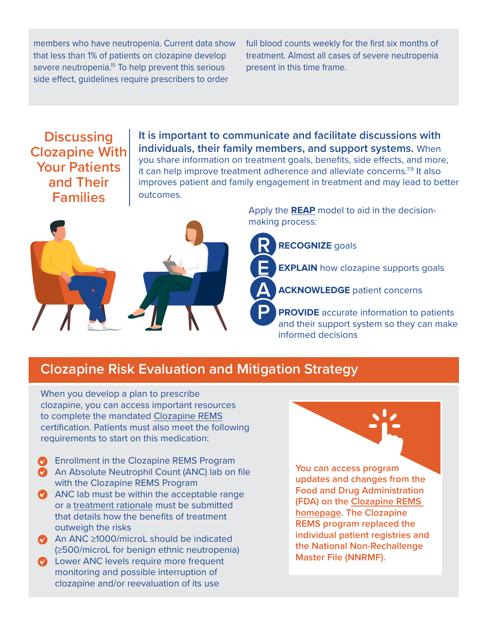members who have neutropenia. Current data show that less than 1% of patients on clozapine develop severe neutropenia.<sup>15</sup> To help prevent this serious side effect, guidelines require prescribers to order

full blood counts weekly for the first six months of treatment. Almost all cases of severe neutropenia present in this time frame.

#### **Discussing Clozapine With Your Patients and Their Families**

**It is important to communicate and facilitate discussions with individuals, their family members, and support systems.** When you share information on treatment goals, benefits, side effects, and more, it can help improve treatment adherence and alleviate concerns.<sup>7,9</sup> It also improves patient and family engagement in treatment and may lead to better outcomes.



Apply the **[REAP](https://www.thenationalcouncil.org/wp-content/uploads/2019/02/Clozapine-Changing-the-Conversation-Tip-Sheet.pdf?daf=375ateTbd56)** model to aid in the decisionmaking process:

**RECOGNIZE** goals

**EXPLAIN** how clozapine supports goals

**ACKNOWLEDGE** patient concerns

**PROVIDE** accurate information to patients and their support system so they can make informed decisions

# **Clozapine Risk Evaluation and Mitigation Strategy**

When you develop a plan to prescribe clozapine, you can access important resources to complete the mandated [Clozapine REMS](https://www.clozapinerems.com/CpmgClozapineUI/home.u) certification. Patients must also meet the following requirements to start on this medication:

- Enrollment in the Clozapine REMS Program
- **An Absolute Neutrophil Count (ANC) lab on file** with the Clozapine REMS Program
- ANC lab must be within the acceptable range or a [treatment rationale](https://www.clozapinerems.com/CpmgClozapineUI/rems/pdf/resources/Clozapine_REMS_A_Guide_for_Healthcare_Providers.pdf) must be submitted that details how the benefits of treatment outweigh the risks
- ◆ An ANC ≥1000/microL should be indicated (≥500/microL for benign ethnic neutropenia)
- **Lower ANC levels require more frequent** monitoring and possible interruption of clozapine and/or reevaluation of its use

**You can access program updates and changes from the Food and Drug Administration (FDA) on the [Clozapine REMS](https://www.clozapinerems.com/CpmgClozapineUI/home.u)  [homepage](https://www.clozapinerems.com/CpmgClozapineUI/home.u). The Clozapine REMS program replaced the individual patient registries and the National Non-Rechallenge Master File (NNRMF).**